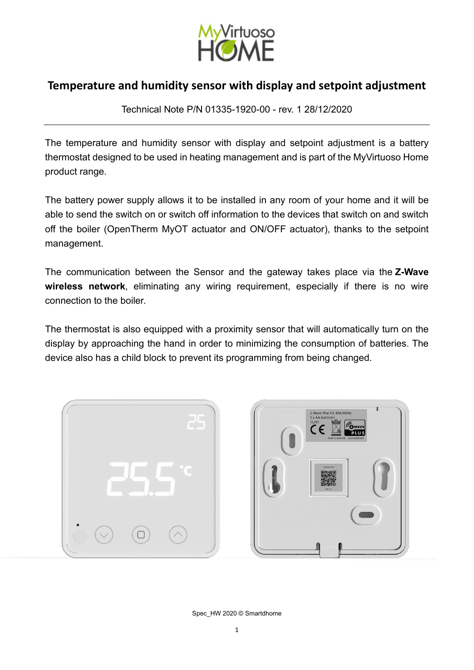

Technical Note P/N 01335-1920-00 - rev. 1 28/12/2020

The temperature and humidity sensor with display and setpoint adjustment is a battery thermostat designed to be used in heating management and is part of the MyVirtuoso Home product range.

The battery power supply allows it to be installed in any room of your home and it will be able to send the switch on or switch off information to the devices that switch on and switch off the boiler (OpenTherm MyOT actuator and ON/OFF actuator), thanks to the setpoint management.

The communication between the Sensor and the gateway takes place via the **Z-Wave wireless network**, eliminating any wiring requirement, especially if there is no wire connection to the boiler.

The thermostat is also equipped with a proximity sensor that will automatically turn on the display by approaching the hand in order to minimizing the consumption of batteries. The device also has a child block to prevent its programming from being changed.



Spec\_HW 2020 © Smartdhome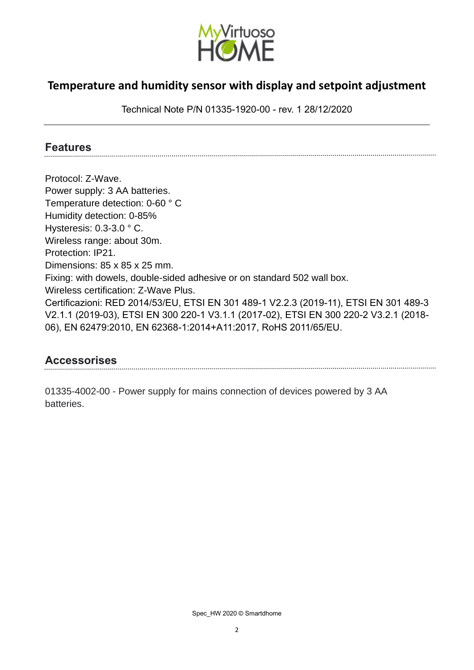

Technical Note P/N 01335-1920-00 - rev. 1 28/12/2020

#### **Features**

Protocol: Z-Wave. Power supply: 3 AA batteries. Temperature detection: 0-60 ° C Humidity detection: 0-85% Hysteresis: 0.3-3.0 ° C. Wireless range: about 30m. Protection: IP21. Dimensions: 85 x 85 x 25 mm. Fixing: with dowels, double-sided adhesive or on standard 502 wall box. Wireless certification: Z-Wave Plus. Certificazioni: RED 2014/53/EU, ETSI EN 301 489-1 V2.2.3 (2019-11), ETSI EN 301 489-3 V2.1.1 (2019-03), ETSI EN 300 220-1 V3.1.1 (2017-02), ETSI EN 300 220-2 V3.2.1 (2018- 06), EN 62479:2010, EN 62368-1:2014+A11:2017, RoHS 2011/65/EU.

#### **Accessorises**

01335-4002-00 - Power supply for mains connection of devices powered by 3 AA batteries.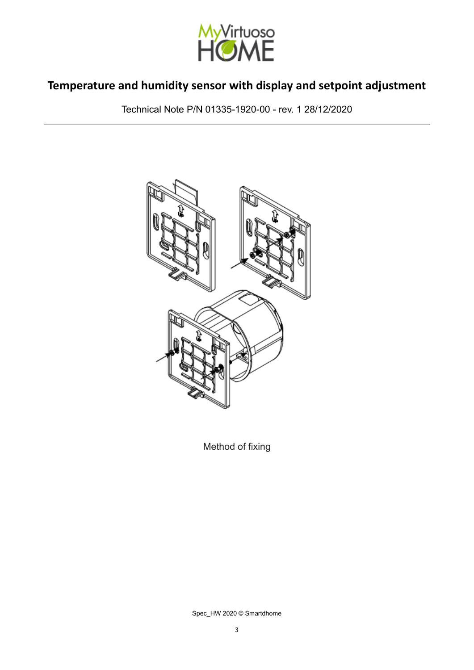

Technical Note P/N 01335-1920-00 - rev. 1 28/12/2020



Method of fixing

Spec\_HW 2020 © Smartdhome